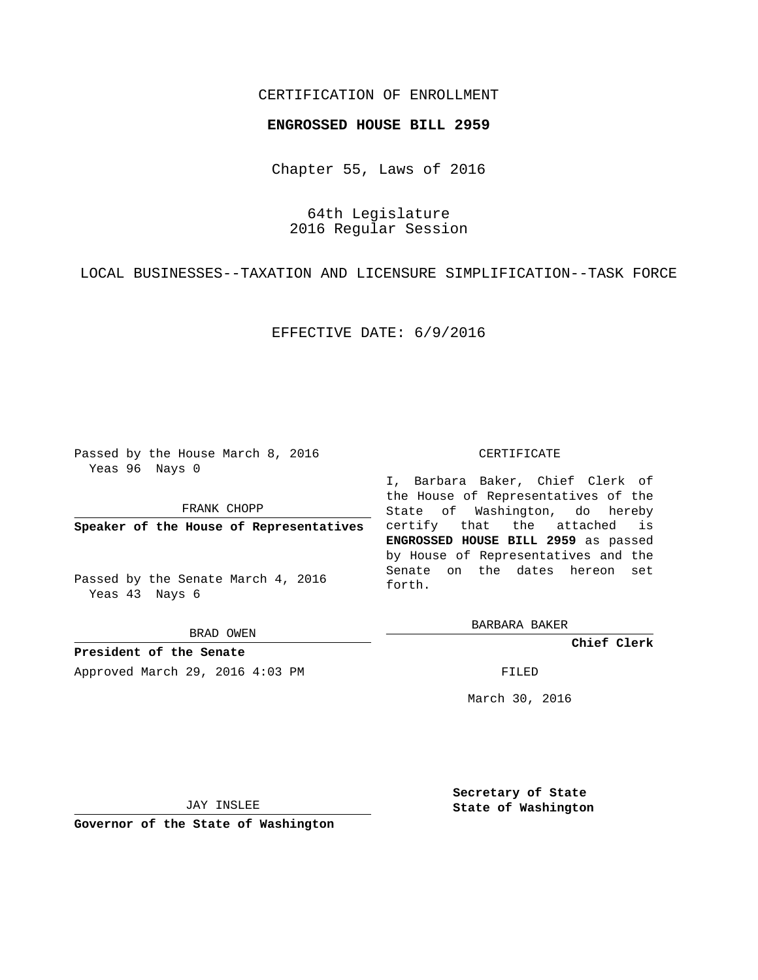# CERTIFICATION OF ENROLLMENT

### **ENGROSSED HOUSE BILL 2959**

Chapter 55, Laws of 2016

64th Legislature 2016 Regular Session

LOCAL BUSINESSES--TAXATION AND LICENSURE SIMPLIFICATION--TASK FORCE

EFFECTIVE DATE: 6/9/2016

Passed by the House March 8, 2016 Yeas 96 Nays 0

FRANK CHOPP

**Speaker of the House of Representatives**

Passed by the Senate March 4, 2016 Yeas 43 Nays 6

BRAD OWEN

**President of the Senate** Approved March 29, 2016 4:03 PM FILED

#### CERTIFICATE

I, Barbara Baker, Chief Clerk of the House of Representatives of the State of Washington, do hereby certify that the attached is **ENGROSSED HOUSE BILL 2959** as passed by House of Representatives and the Senate on the dates hereon set forth.

BARBARA BAKER

**Chief Clerk**

March 30, 2016

JAY INSLEE

**Governor of the State of Washington**

**Secretary of State State of Washington**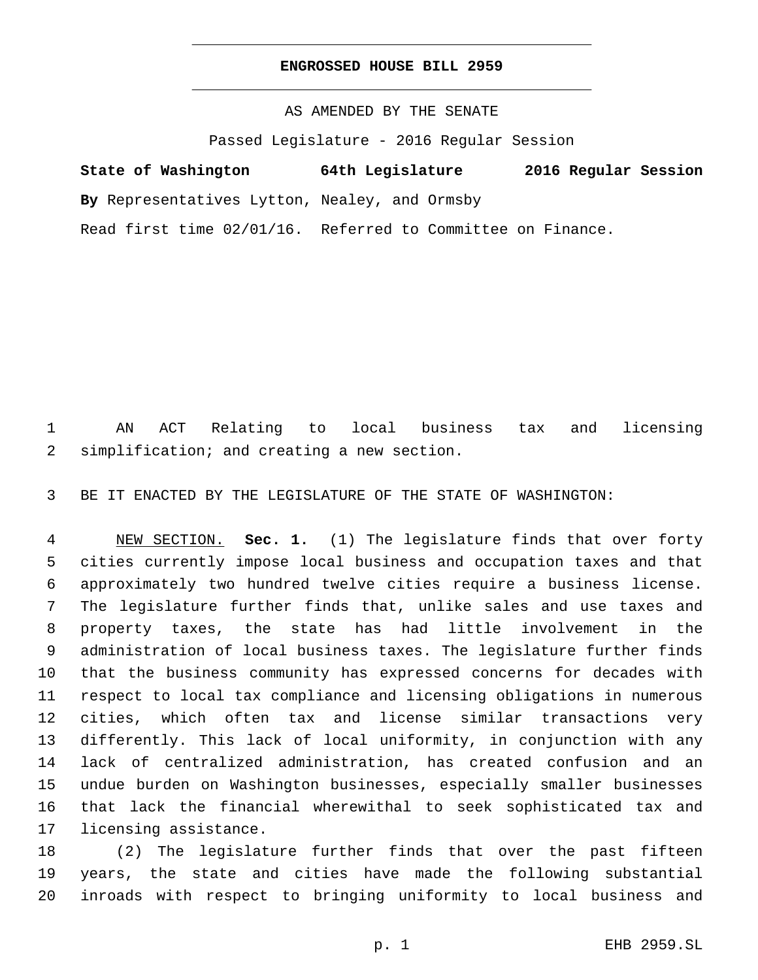### **ENGROSSED HOUSE BILL 2959**

# AS AMENDED BY THE SENATE

Passed Legislature - 2016 Regular Session

# **State of Washington 64th Legislature 2016 Regular Session**

**By** Representatives Lytton, Nealey, and Ormsby

Read first time 02/01/16. Referred to Committee on Finance.

 AN ACT Relating to local business tax and licensing 2 simplification; and creating a new section.

BE IT ENACTED BY THE LEGISLATURE OF THE STATE OF WASHINGTON:

 NEW SECTION. **Sec. 1.** (1) The legislature finds that over forty cities currently impose local business and occupation taxes and that approximately two hundred twelve cities require a business license. The legislature further finds that, unlike sales and use taxes and property taxes, the state has had little involvement in the administration of local business taxes. The legislature further finds that the business community has expressed concerns for decades with respect to local tax compliance and licensing obligations in numerous cities, which often tax and license similar transactions very differently. This lack of local uniformity, in conjunction with any lack of centralized administration, has created confusion and an undue burden on Washington businesses, especially smaller businesses that lack the financial wherewithal to seek sophisticated tax and licensing assistance.

 (2) The legislature further finds that over the past fifteen years, the state and cities have made the following substantial inroads with respect to bringing uniformity to local business and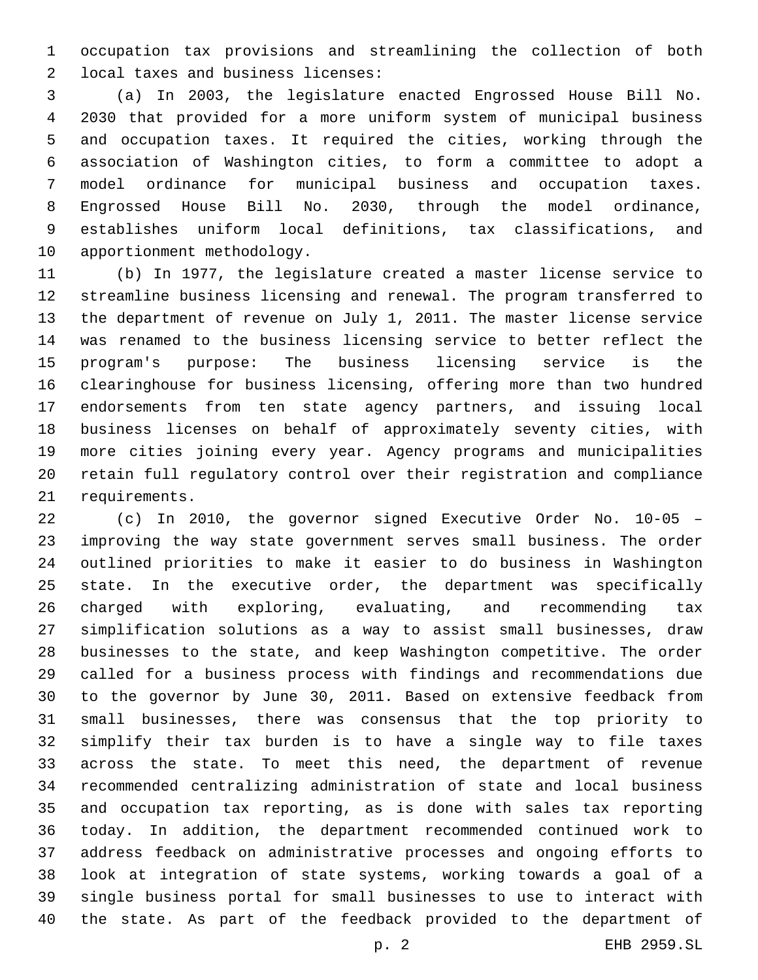occupation tax provisions and streamlining the collection of both 2 local taxes and business licenses:

 (a) In 2003, the legislature enacted Engrossed House Bill No. 2030 that provided for a more uniform system of municipal business and occupation taxes. It required the cities, working through the association of Washington cities, to form a committee to adopt a model ordinance for municipal business and occupation taxes. Engrossed House Bill No. 2030, through the model ordinance, establishes uniform local definitions, tax classifications, and 10 apportionment methodology.

 (b) In 1977, the legislature created a master license service to streamline business licensing and renewal. The program transferred to the department of revenue on July 1, 2011. The master license service was renamed to the business licensing service to better reflect the program's purpose: The business licensing service is the clearinghouse for business licensing, offering more than two hundred endorsements from ten state agency partners, and issuing local business licenses on behalf of approximately seventy cities, with more cities joining every year. Agency programs and municipalities retain full regulatory control over their registration and compliance 21 requirements.

 (c) In 2010, the governor signed Executive Order No. 10-05 – improving the way state government serves small business. The order outlined priorities to make it easier to do business in Washington state. In the executive order, the department was specifically charged with exploring, evaluating, and recommending tax simplification solutions as a way to assist small businesses, draw businesses to the state, and keep Washington competitive. The order called for a business process with findings and recommendations due to the governor by June 30, 2011. Based on extensive feedback from small businesses, there was consensus that the top priority to simplify their tax burden is to have a single way to file taxes across the state. To meet this need, the department of revenue recommended centralizing administration of state and local business and occupation tax reporting, as is done with sales tax reporting today. In addition, the department recommended continued work to address feedback on administrative processes and ongoing efforts to look at integration of state systems, working towards a goal of a single business portal for small businesses to use to interact with the state. As part of the feedback provided to the department of

p. 2 EHB 2959.SL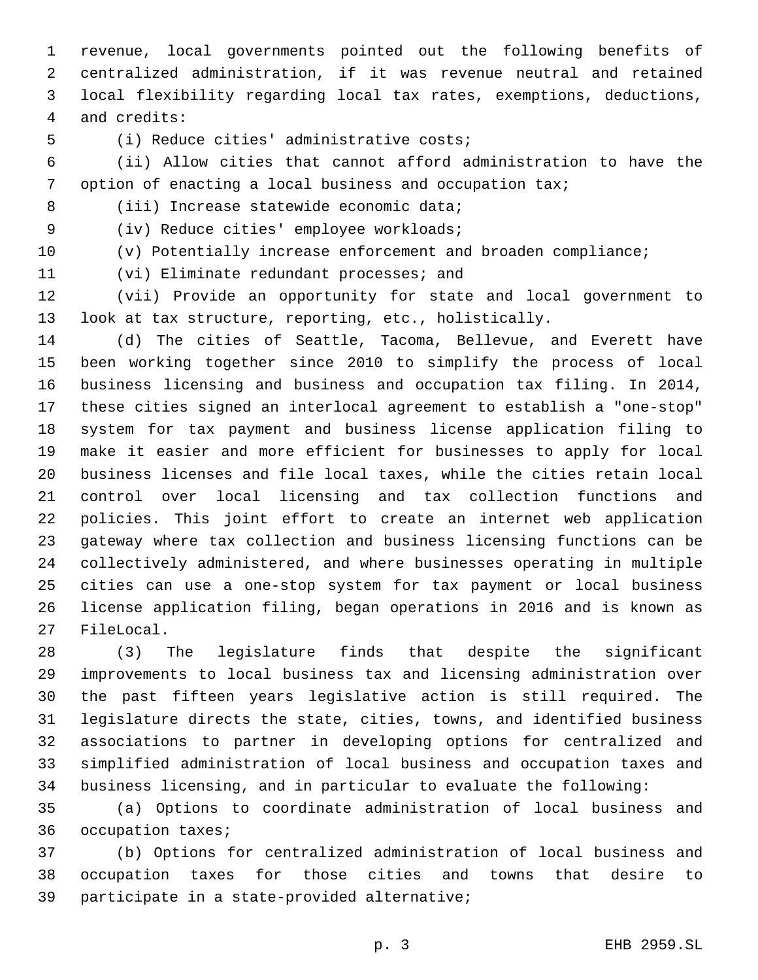revenue, local governments pointed out the following benefits of centralized administration, if it was revenue neutral and retained local flexibility regarding local tax rates, exemptions, deductions, and credits:4

5 (i) Reduce cities' administrative costs;

 (ii) Allow cities that cannot afford administration to have the option of enacting a local business and occupation tax;

8 (iii) Increase statewide economic data;

9 (iv) Reduce cities' employee workloads;

(v) Potentially increase enforcement and broaden compliance;

11 (vi) Eliminate redundant processes; and

 (vii) Provide an opportunity for state and local government to look at tax structure, reporting, etc., holistically.

 (d) The cities of Seattle, Tacoma, Bellevue, and Everett have been working together since 2010 to simplify the process of local business licensing and business and occupation tax filing. In 2014, these cities signed an interlocal agreement to establish a "one-stop" system for tax payment and business license application filing to make it easier and more efficient for businesses to apply for local business licenses and file local taxes, while the cities retain local control over local licensing and tax collection functions and policies. This joint effort to create an internet web application gateway where tax collection and business licensing functions can be collectively administered, and where businesses operating in multiple cities can use a one-stop system for tax payment or local business license application filing, began operations in 2016 and is known as 27 FileLocal.

 (3) The legislature finds that despite the significant improvements to local business tax and licensing administration over the past fifteen years legislative action is still required. The legislature directs the state, cities, towns, and identified business associations to partner in developing options for centralized and simplified administration of local business and occupation taxes and business licensing, and in particular to evaluate the following:

 (a) Options to coordinate administration of local business and 36 occupation taxes;

 (b) Options for centralized administration of local business and occupation taxes for those cities and towns that desire to 39 participate in a state-provided alternative;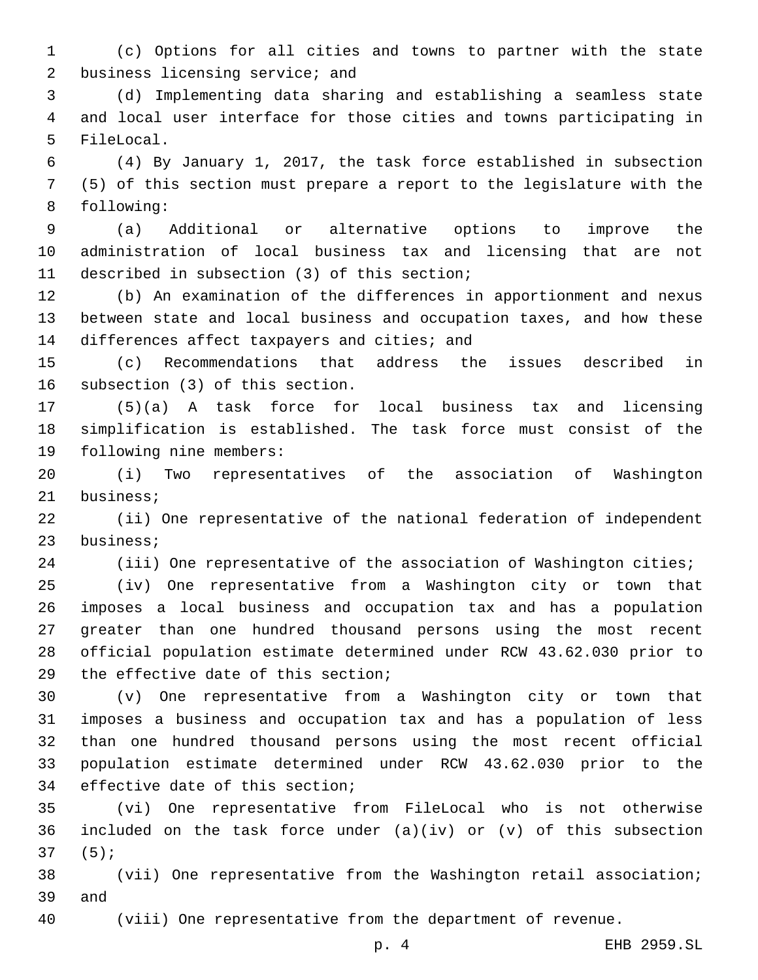(c) Options for all cities and towns to partner with the state 2 business licensing service; and

 (d) Implementing data sharing and establishing a seamless state and local user interface for those cities and towns participating in 5 FileLocal.

 (4) By January 1, 2017, the task force established in subsection (5) of this section must prepare a report to the legislature with the 8 following:

 (a) Additional or alternative options to improve the administration of local business tax and licensing that are not 11 described in subsection (3) of this section;

 (b) An examination of the differences in apportionment and nexus between state and local business and occupation taxes, and how these 14 differences affect taxpayers and cities; and

 (c) Recommendations that address the issues described in 16 subsection (3) of this section.

 (5)(a) A task force for local business tax and licensing simplification is established. The task force must consist of the 19 following nine members:

 (i) Two representatives of the association of Washington 21 business;

 (ii) One representative of the national federation of independent 23 business;

(iii) One representative of the association of Washington cities;

 (iv) One representative from a Washington city or town that imposes a local business and occupation tax and has a population greater than one hundred thousand persons using the most recent official population estimate determined under RCW 43.62.030 prior to 29 the effective date of this section;

 (v) One representative from a Washington city or town that imposes a business and occupation tax and has a population of less than one hundred thousand persons using the most recent official population estimate determined under RCW 43.62.030 prior to the 34 effective date of this section;

 (vi) One representative from FileLocal who is not otherwise 36 included on the task force under  $(a)(iv)$  or  $(v)$  of this subsection  $37(5)$ ;

 (vii) One representative from the Washington retail association; 39 and

(viii) One representative from the department of revenue.

p. 4 EHB 2959.SL